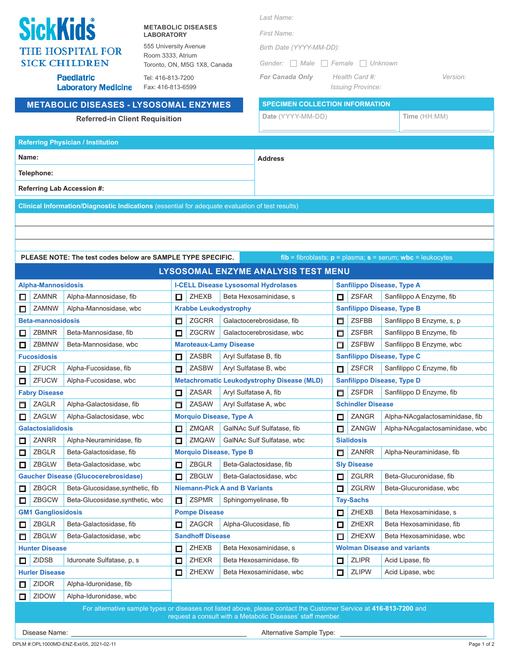|                                      |                                                                                                                                    |                                                                                                 |                                                   |                                                   |                         |                                      | Last Name:                                                                                                         |                                   |        |                                            |              |                                 |
|--------------------------------------|------------------------------------------------------------------------------------------------------------------------------------|-------------------------------------------------------------------------------------------------|---------------------------------------------------|---------------------------------------------------|-------------------------|--------------------------------------|--------------------------------------------------------------------------------------------------------------------|-----------------------------------|--------|--------------------------------------------|--------------|---------------------------------|
| <b>SickKids</b><br><b>LABORATORY</b> |                                                                                                                                    |                                                                                                 | <b>METABOLIC DISEASES</b>                         |                                                   |                         | First Name:                          |                                                                                                                    |                                   |        |                                            |              |                                 |
| <b>THE HOSPITAL FOR</b>              |                                                                                                                                    |                                                                                                 | 555 University Avenue<br>Birth Date (YYYY-MM-DD): |                                                   |                         |                                      |                                                                                                                    |                                   |        |                                            |              |                                 |
|                                      | Room 3333, Atrium<br><b>SICK CHILDREN</b>                                                                                          |                                                                                                 |                                                   | Toronto, ON, M5G 1X8, Canada                      |                         |                                      | Gender: Male Female<br>    Unknown                                                                                 |                                   |        |                                            |              |                                 |
|                                      |                                                                                                                                    | <b>Paediatric</b><br><b>Laboratory Medicine</b>                                                 | Tel: 416-813-7200<br>Fax: 416-813-6599            |                                                   |                         |                                      | <b>For Canada Only</b>                                                                                             |                                   |        | Health Card #:<br><b>Issuing Province:</b> |              | Version:                        |
|                                      |                                                                                                                                    | <b>METABOLIC DISEASES - LYSOSOMAL ENZYMES</b>                                                   |                                                   |                                                   |                         |                                      | <b>SPECIMEN COLLECTION INFORMATION</b>                                                                             |                                   |        |                                            |              |                                 |
|                                      |                                                                                                                                    | <b>Referred-in Client Requisition</b>                                                           |                                                   |                                                   |                         |                                      | Date (YYYY-MM-DD)                                                                                                  |                                   |        |                                            | Time (HH:MM) |                                 |
|                                      |                                                                                                                                    |                                                                                                 |                                                   |                                                   |                         |                                      |                                                                                                                    |                                   |        |                                            |              |                                 |
|                                      |                                                                                                                                    | <b>Referring Physician / Institution</b>                                                        |                                                   |                                                   |                         |                                      |                                                                                                                    |                                   |        |                                            |              |                                 |
| Name:                                |                                                                                                                                    |                                                                                                 |                                                   |                                                   |                         |                                      | <b>Address</b>                                                                                                     |                                   |        |                                            |              |                                 |
|                                      | Telephone:                                                                                                                         |                                                                                                 |                                                   |                                                   |                         |                                      |                                                                                                                    |                                   |        |                                            |              |                                 |
|                                      |                                                                                                                                    |                                                                                                 |                                                   |                                                   |                         |                                      |                                                                                                                    |                                   |        |                                            |              |                                 |
|                                      |                                                                                                                                    | <b>Referring Lab Accession #:</b>                                                               |                                                   |                                                   |                         |                                      |                                                                                                                    |                                   |        |                                            |              |                                 |
|                                      |                                                                                                                                    | Clinical Information/Diagnostic Indications (essential for adequate evaluation of test results) |                                                   |                                                   |                         |                                      |                                                                                                                    |                                   |        |                                            |              |                                 |
|                                      |                                                                                                                                    |                                                                                                 |                                                   |                                                   |                         |                                      |                                                                                                                    |                                   |        |                                            |              |                                 |
|                                      |                                                                                                                                    |                                                                                                 |                                                   |                                                   |                         |                                      |                                                                                                                    |                                   |        |                                            |              |                                 |
|                                      |                                                                                                                                    |                                                                                                 |                                                   |                                                   |                         |                                      |                                                                                                                    |                                   |        |                                            |              |                                 |
|                                      | PLEASE NOTE: The test codes below are SAMPLE TYPE SPECIFIC.<br>$fib = fibroblasts$ ; $p = plasma$ ; $s = serum$ ; wbc = leukocytes |                                                                                                 |                                                   |                                                   |                         |                                      |                                                                                                                    |                                   |        |                                            |              |                                 |
|                                      |                                                                                                                                    |                                                                                                 |                                                   |                                                   |                         |                                      | LYSOSOMAL ENZYME ANALYSIS TEST MENU                                                                                |                                   |        |                                            |              |                                 |
|                                      | <b>Alpha-Mannosidosis</b>                                                                                                          |                                                                                                 |                                                   |                                                   |                         |                                      | <b>I-CELL Disease Lysosomal Hydrolases</b>                                                                         |                                   |        | <b>Sanfilippo Disease, Type A</b>          |              |                                 |
| ◻                                    | <b>ZAMNR</b>                                                                                                                       | Alpha-Mannosidase, fib                                                                          |                                                   | 0                                                 | <b>ZHEXB</b>            |                                      | Beta Hexosaminidase, s                                                                                             |                                   | 0      | <b>ZSFAR</b>                               |              | Sanfilippo A Enzyme, fib        |
| ◻                                    | <b>ZAMNW</b><br>Alpha-Mannosidase, wbc                                                                                             |                                                                                                 |                                                   | <b>Krabbe Leukodystrophy</b>                      |                         |                                      |                                                                                                                    | <b>Sanfilippo Disease, Type B</b> |        |                                            |              |                                 |
|                                      | <b>Beta-mannosidosis</b>                                                                                                           |                                                                                                 |                                                   | □                                                 | <b>ZGCRR</b>            |                                      | Galactocerebrosidase, fib                                                                                          |                                   | $\Box$ | <b>ZSFBB</b>                               |              | Sanfilippo B Enzyme, s, p       |
| 口                                    | <b>ZBMNR</b>                                                                                                                       | Beta-Mannosidase, fib                                                                           |                                                   | □                                                 | <b>ZGCRW</b>            |                                      | Galactocerebrosidase, wbc                                                                                          |                                   | $\Box$ | <b>ZSFBR</b>                               |              | Sanfilippo B Enzyme, fib        |
| □                                    | ZBMNW                                                                                                                              | Beta-Mannosidase, wbc                                                                           |                                                   |                                                   |                         | <b>Maroteaux-Lamy Disease</b>        |                                                                                                                    |                                   | $\Box$ | <b>ZSFBW</b>                               |              | Sanfilippo B Enzyme, wbc        |
|                                      | <b>Fucosidosis</b>                                                                                                                 |                                                                                                 |                                                   | □                                                 | <b>ZASBR</b>            | Aryl Sulfatase B, fib                |                                                                                                                    |                                   |        | <b>Sanfilippo Disease, Type C</b>          |              |                                 |
| ◻                                    | <b>ZFUCR</b>                                                                                                                       | Alpha-Fucosidase, fib                                                                           |                                                   | □                                                 | <b>ZASBW</b>            |                                      | Aryl Sulfatase B, wbc                                                                                              |                                   | □      | <b>ZSFCR</b>                               |              | Sanfilippo C Enzyme, fib        |
| ◻                                    | ZFUCW                                                                                                                              | Alpha-Fucosidase, wbc                                                                           |                                                   | <b>Metachromatic Leukodystrophy Disease (MLD)</b> |                         |                                      |                                                                                                                    | <b>Sanfilippo Disease, Type D</b> |        |                                            |              |                                 |
|                                      | <b>Fabry Disease</b>                                                                                                               |                                                                                                 |                                                   | 口                                                 | <b>ZASAR</b>            | Aryl Sulfatase A, fib                |                                                                                                                    |                                   | $\Box$ | <b>ZSFDR</b>                               |              | Sanfilippo D Enzyme, fib        |
| $\Box$                               | ZAGLR                                                                                                                              | Alpha-Galactosidase, fib                                                                        |                                                   | □                                                 | ZASAW                   |                                      | Aryl Sulfatase A, wbc                                                                                              |                                   |        | <b>Schindler Disease</b>                   |              |                                 |
| ◻                                    | ZAGLW                                                                                                                              | Alpha-Galactosidase, wbc                                                                        |                                                   |                                                   |                         | <b>Morquio Disease, Type A</b>       |                                                                                                                    |                                   | □      | ZANGR                                      |              | Alpha-NAcgalactosaminidase, fib |
|                                      | <b>Galactosialidosis</b>                                                                                                           |                                                                                                 |                                                   | $\Box$                                            | ZMQAR                   |                                      | GalNAc Sulf Sulfatase, fib                                                                                         |                                   | □      | ZANGW                                      |              | Alpha-NAcgalactosaminidase, wbc |
| □                                    | <b>ZANRR</b>                                                                                                                       | Alpha-Neuraminidase, fib                                                                        |                                                   | □                                                 | ZMQAW                   |                                      | GalNAc Sulf Sulfatase, wbc                                                                                         |                                   |        | <b>Sialidosis</b>                          |              |                                 |
| □                                    | ZBGLR<br>ZBGLW                                                                                                                     | Beta-Galactosidase, fib<br>Beta-Galactosidase, wbc                                              |                                                   |                                                   | ZBGLR                   | <b>Morquio Disease, Type B</b>       | Beta-Galactosidase, fib                                                                                            |                                   | $\Box$ | ZANRR<br><b>Sly Disease</b>                |              | Alpha-Neuraminidase, fib        |
| ◻                                    |                                                                                                                                    | <b>Gaucher Disease (Glucocerebrosidase)</b>                                                     |                                                   | □<br>口                                            | ZBGLW                   |                                      | Beta-Galactosidase, wbc                                                                                            |                                   |        | ZGLRR                                      |              | Beta-Glucuronidase, fib         |
| □                                    | ZBGCR                                                                                                                              | Beta-Glucosidase, synthetic, fib                                                                |                                                   |                                                   |                         | <b>Niemann-Pick A and B Variants</b> |                                                                                                                    |                                   | □<br>口 | <b>ZGLRW</b>                               |              | Beta-Glucuronidase, wbc         |
| ❏                                    | ZBGCW                                                                                                                              | Beta-Glucosidase, synthetic, wbc                                                                |                                                   | □                                                 | <b>ZSPMR</b>            |                                      | Sphingomyelinase, fib                                                                                              |                                   |        | <b>Tay-Sachs</b>                           |              |                                 |
|                                      | <b>GM1 Gangliosidosis</b>                                                                                                          |                                                                                                 |                                                   |                                                   | <b>Pompe Disease</b>    |                                      |                                                                                                                    |                                   | □      | ZHEXB                                      |              | Beta Hexosaminidase, s          |
| ◻                                    | ZBGLR                                                                                                                              | Beta-Galactosidase, fib                                                                         |                                                   | ◻                                                 | ZAGCR                   |                                      | Alpha-Glucosidase, fib                                                                                             |                                   | 口      | <b>ZHEXR</b>                               |              | Beta Hexosaminidase, fib        |
| 口                                    | ZBGLW                                                                                                                              | Beta-Galactosidase, wbc                                                                         |                                                   |                                                   | <b>Sandhoff Disease</b> |                                      |                                                                                                                    |                                   | $\Box$ | <b>ZHEXW</b>                               |              | Beta Hexosaminidase, wbc        |
|                                      | <b>Hunter Disease</b>                                                                                                              |                                                                                                 |                                                   | $\Box$                                            | ZHEXB                   |                                      | Beta Hexosaminidase, s                                                                                             |                                   |        | <b>Wolman Disease and variants</b>         |              |                                 |
| □                                    | <b>ZIDSB</b>                                                                                                                       | Iduronate Sulfatase, p, s                                                                       |                                                   | 口                                                 | <b>ZHEXR</b>            |                                      | Beta Hexosaminidase, fib                                                                                           |                                   | ◘      | <b>ZLIPR</b>                               |              | Acid Lipase, fib                |
|                                      | <b>Hurler Disease</b>                                                                                                              |                                                                                                 |                                                   | ◻                                                 | ZHEXW                   |                                      | Beta Hexosaminidase, wbc                                                                                           |                                   | □      | <b>ZLIPW</b>                               |              | Acid Lipase, wbc                |
| ப                                    | ZIDOR                                                                                                                              | Alpha-Iduronidase, fib                                                                          |                                                   |                                                   |                         |                                      |                                                                                                                    |                                   |        |                                            |              |                                 |
| ◻                                    | <b>ZIDOW</b>                                                                                                                       | Alpha-Iduronidase, wbc                                                                          |                                                   |                                                   |                         |                                      |                                                                                                                    |                                   |        |                                            |              |                                 |
|                                      |                                                                                                                                    |                                                                                                 |                                                   |                                                   |                         |                                      | For alternative sample types or diseases not listed above, please contact the Customer Service at 416-813-7200 and |                                   |        |                                            |              |                                 |
|                                      |                                                                                                                                    |                                                                                                 |                                                   |                                                   |                         |                                      | request a consult with a Metabolic Diseases' staff member.                                                         |                                   |        |                                            |              |                                 |

Disease Name: Alternative Sample Type: